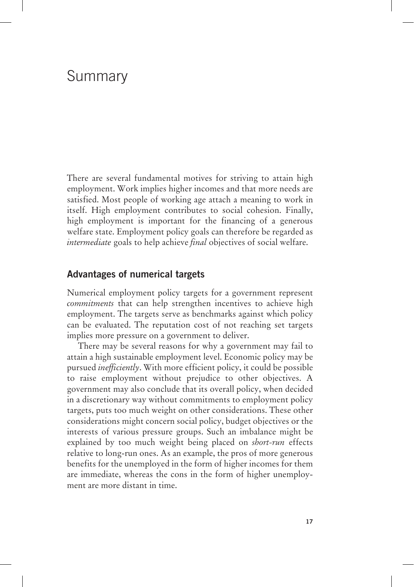# Summary

There are several fundamental motives for striving to attain high employment. Work implies higher incomes and that more needs are satisfied. Most people of working age attach a meaning to work in itself. High employment contributes to social cohesion. Finally, high employment is important for the financing of a generous welfare state. Employment policy goals can therefore be regarded as *intermediate* goals to help achieve *final* objectives of social welfare.

# **Advantages of numerical targets**

Numerical employment policy targets for a government represent *commitments* that can help strengthen incentives to achieve high employment. The targets serve as benchmarks against which policy can be evaluated. The reputation cost of not reaching set targets implies more pressure on a government to deliver.

There may be several reasons for why a government may fail to attain a high sustainable employment level. Economic policy may be pursued *inefficiently*. With more efficient policy, it could be possible to raise employment without prejudice to other objectives. A government may also conclude that its overall policy, when decided in a discretionary way without commitments to employment policy targets, puts too much weight on other considerations. These other considerations might concern social policy, budget objectives or the interests of various pressure groups. Such an imbalance might be explained by too much weight being placed on *short-run* effects relative to long-run ones. As an example, the pros of more generous benefits for the unemployed in the form of higher incomes for them are immediate, whereas the cons in the form of higher unemployment are more distant in time.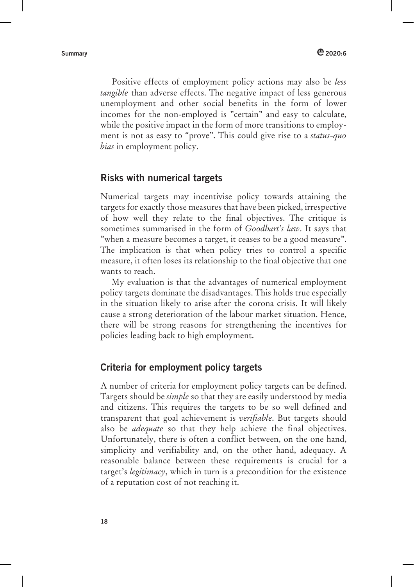Positive effects of employment policy actions may also be *less tangible* than adverse effects. The negative impact of less generous unemployment and other social benefits in the form of lower incomes for the non-employed is "certain" and easy to calculate, while the positive impact in the form of more transitions to employment is not as easy to "prove". This could give rise to a *status-quo bias* in employment policy.

# **Risks with numerical targets**

Numerical targets may incentivise policy towards attaining the targets for exactly those measures that have been picked, irrespective of how well they relate to the final objectives. The critique is sometimes summarised in the form of *Goodhart's law*. It says that "when a measure becomes a target, it ceases to be a good measure". The implication is that when policy tries to control a specific measure, it often loses its relationship to the final objective that one wants to reach.

My evaluation is that the advantages of numerical employment policy targets dominate the disadvantages. This holds true especially in the situation likely to arise after the corona crisis. It will likely cause a strong deterioration of the labour market situation. Hence, there will be strong reasons for strengthening the incentives for policies leading back to high employment.

# **Criteria for employment policy targets**

A number of criteria for employment policy targets can be defined. Targets should be *simple* so that they are easily understood by media and citizens. This requires the targets to be so well defined and transparent that goal achievement is *verifiable*. But targets should also be *adequate* so that they help achieve the final objectives. Unfortunately, there is often a conflict between, on the one hand, simplicity and verifiability and, on the other hand, adequacy. A reasonable balance between these requirements is crucial for a target's *legitimacy*, which in turn is a precondition for the existence of a reputation cost of not reaching it.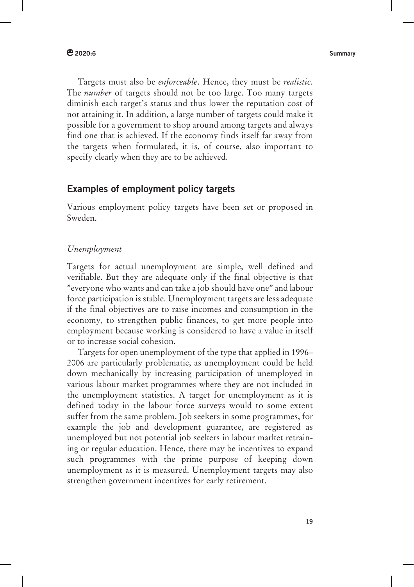**2020:6 Summary** 

Targets must also be *enforceable*. Hence, they must be *realistic*. The *number* of targets should not be too large. Too many targets diminish each target's status and thus lower the reputation cost of not attaining it. In addition, a large number of targets could make it possible for a government to shop around among targets and always find one that is achieved. If the economy finds itself far away from the targets when formulated, it is, of course, also important to specify clearly when they are to be achieved.

# **Examples of employment policy targets**

Various employment policy targets have been set or proposed in Sweden.

### *Unemployment*

Targets for actual unemployment are simple, well defined and verifiable. But they are adequate only if the final objective is that "everyone who wants and can take a job should have one" and labour force participation is stable. Unemployment targets are less adequate if the final objectives are to raise incomes and consumption in the economy, to strengthen public finances, to get more people into employment because working is considered to have a value in itself or to increase social cohesion.

Targets for open unemployment of the type that applied in 1996– 2006 are particularly problematic, as unemployment could be held down mechanically by increasing participation of unemployed in various labour market programmes where they are not included in the unemployment statistics. A target for unemployment as it is defined today in the labour force surveys would to some extent suffer from the same problem. Job seekers in some programmes, for example the job and development guarantee, are registered as unemployed but not potential job seekers in labour market retraining or regular education. Hence, there may be incentives to expand such programmes with the prime purpose of keeping down unemployment as it is measured. Unemployment targets may also strengthen government incentives for early retirement.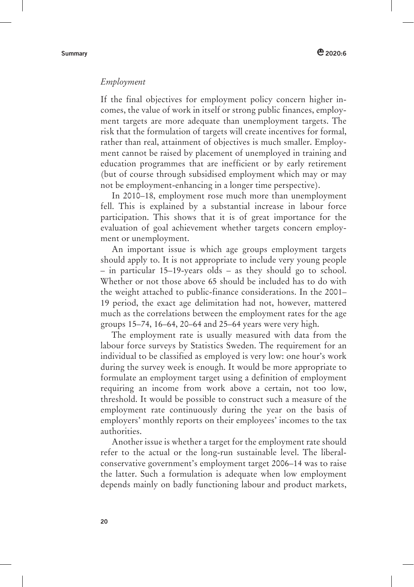### *Employment*

If the final objectives for employment policy concern higher incomes, the value of work in itself or strong public finances, employment targets are more adequate than unemployment targets. The risk that the formulation of targets will create incentives for formal, rather than real, attainment of objectives is much smaller. Employment cannot be raised by placement of unemployed in training and education programmes that are inefficient or by early retirement (but of course through subsidised employment which may or may not be employment-enhancing in a longer time perspective).

In 2010–18, employment rose much more than unemployment fell. This is explained by a substantial increase in labour force participation. This shows that it is of great importance for the evaluation of goal achievement whether targets concern employment or unemployment.

An important issue is which age groups employment targets should apply to. It is not appropriate to include very young people – in particular 15–19-years olds – as they should go to school. Whether or not those above 65 should be included has to do with the weight attached to public-finance considerations. In the 2001– 19 period, the exact age delimitation had not, however, mattered much as the correlations between the employment rates for the age groups 15–74, 16–64, 20–64 and 25–64 years were very high.

The employment rate is usually measured with data from the labour force surveys by Statistics Sweden. The requirement for an individual to be classified as employed is very low: one hour's work during the survey week is enough. It would be more appropriate to formulate an employment target using a definition of employment requiring an income from work above a certain, not too low, threshold. It would be possible to construct such a measure of the employment rate continuously during the year on the basis of employers' monthly reports on their employees' incomes to the tax authorities.

Another issue is whether a target for the employment rate should refer to the actual or the long-run sustainable level. The liberalconservative government's employment target 2006–14 was to raise the latter. Such a formulation is adequate when low employment depends mainly on badly functioning labour and product markets,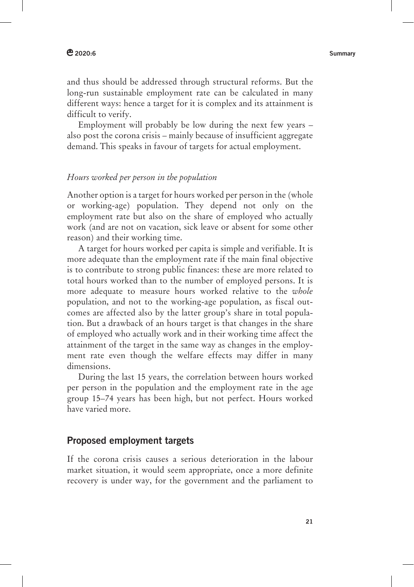and thus should be addressed through structural reforms. But the long-run sustainable employment rate can be calculated in many different ways: hence a target for it is complex and its attainment is difficult to verify.

Employment will probably be low during the next few years – also post the corona crisis – mainly because of insufficient aggregate demand. This speaks in favour of targets for actual employment.

# *Hours worked per person in the population*

Another option is a target for hours worked per person in the (whole or working-age) population. They depend not only on the employment rate but also on the share of employed who actually work (and are not on vacation, sick leave or absent for some other reason) and their working time.

A target for hours worked per capita is simple and verifiable. It is more adequate than the employment rate if the main final objective is to contribute to strong public finances: these are more related to total hours worked than to the number of employed persons. It is more adequate to measure hours worked relative to the *whole* population, and not to the working-age population, as fiscal outcomes are affected also by the latter group's share in total population. But a drawback of an hours target is that changes in the share of employed who actually work and in their working time affect the attainment of the target in the same way as changes in the employment rate even though the welfare effects may differ in many dimensions.

During the last 15 years, the correlation between hours worked per person in the population and the employment rate in the age group 15–74 years has been high, but not perfect. Hours worked have varied more.

# **Proposed employment targets**

If the corona crisis causes a serious deterioration in the labour market situation, it would seem appropriate, once a more definite recovery is under way, for the government and the parliament to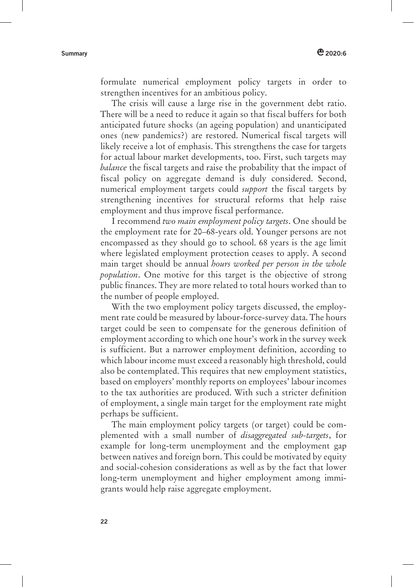formulate numerical employment policy targets in order to strengthen incentives for an ambitious policy.

The crisis will cause a large rise in the government debt ratio. There will be a need to reduce it again so that fiscal buffers for both anticipated future shocks (an ageing population) and unanticipated ones (new pandemics?) are restored. Numerical fiscal targets will likely receive a lot of emphasis. This strengthens the case for targets for actual labour market developments, too. First, such targets may *balance* the fiscal targets and raise the probability that the impact of fiscal policy on aggregate demand is duly considered. Second, numerical employment targets could *support* the fiscal targets by strengthening incentives for structural reforms that help raise employment and thus improve fiscal performance.

I recommend *two main employment policy targets*. One should be the employment rate for 20–68-years old. Younger persons are not encompassed as they should go to school. 68 years is the age limit where legislated employment protection ceases to apply. A second main target should be annual *hours worked per person in the whole population*. One motive for this target is the objective of strong public finances. They are more related to total hours worked than to the number of people employed.

With the two employment policy targets discussed, the employment rate could be measured by labour-force-survey data. The hours target could be seen to compensate for the generous definition of employment according to which one hour's work in the survey week is sufficient. But a narrower employment definition, according to which labour income must exceed a reasonably high threshold, could also be contemplated. This requires that new employment statistics, based on employers' monthly reports on employees' labour incomes to the tax authorities are produced. With such a stricter definition of employment, a single main target for the employment rate might perhaps be sufficient.

The main employment policy targets (or target) could be complemented with a small number of *disaggregated sub-targets*, for example for long-term unemployment and the employment gap between natives and foreign born. This could be motivated by equity and social-cohesion considerations as well as by the fact that lower long-term unemployment and higher employment among immigrants would help raise aggregate employment.